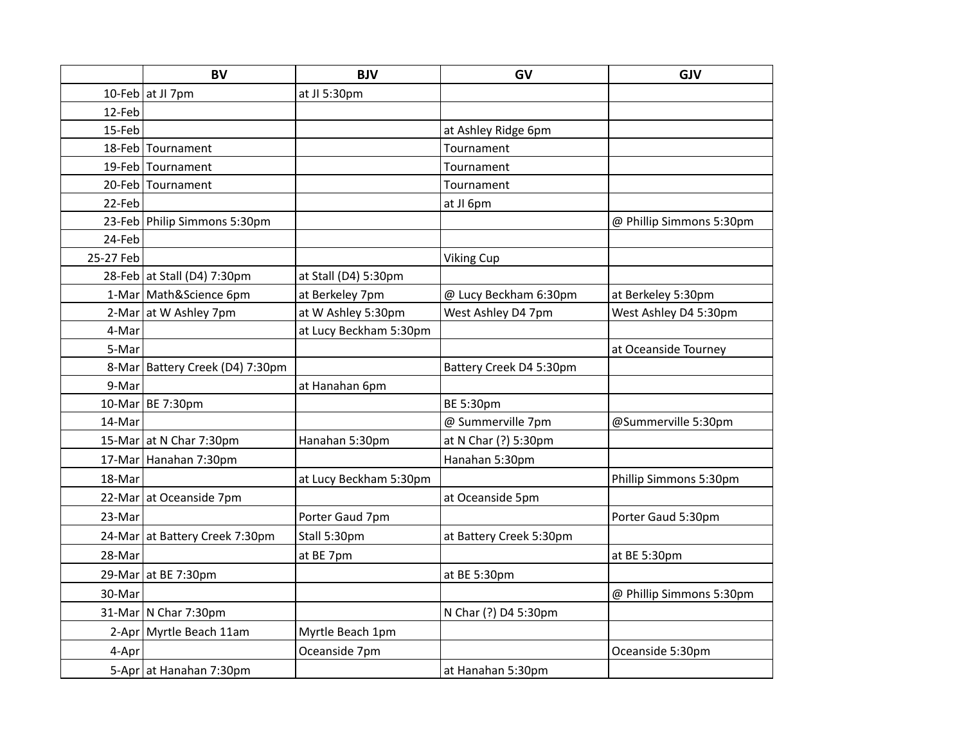|           | <b>BV</b>                         | <b>BJV</b>             | GV                      | <b>GJV</b>               |
|-----------|-----------------------------------|------------------------|-------------------------|--------------------------|
|           | 10-Feb at JI 7pm                  | at JI 5:30pm           |                         |                          |
| 12-Feb    |                                   |                        |                         |                          |
| 15-Feb    |                                   |                        | at Ashley Ridge 6pm     |                          |
|           | 18-Feb Tournament                 |                        | Tournament              |                          |
|           | 19-Feb Tournament                 |                        | Tournament              |                          |
|           | 20-Feb Tournament                 |                        | Tournament              |                          |
| 22-Feb    |                                   |                        | at JI 6pm               |                          |
|           | 23-Feb   Philip Simmons 5:30pm    |                        |                         | @ Phillip Simmons 5:30pm |
| 24-Feb    |                                   |                        |                         |                          |
| 25-27 Feb |                                   |                        | <b>Viking Cup</b>       |                          |
|           | 28-Feb at Stall (D4) 7:30pm       | at Stall (D4) 5:30pm   |                         |                          |
|           | 1-Mar   Math&Science 6pm          | at Berkeley 7pm        | @ Lucy Beckham 6:30pm   | at Berkeley 5:30pm       |
|           | 2-Mar at W Ashley 7pm             | at W Ashley 5:30pm     | West Ashley D4 7pm      | West Ashley D4 5:30pm    |
| 4-Mar     |                                   | at Lucy Beckham 5:30pm |                         |                          |
| 5-Mar     |                                   |                        |                         | at Oceanside Tourney     |
|           | 8-Mar   Battery Creek (D4) 7:30pm |                        | Battery Creek D4 5:30pm |                          |
| 9-Mar     |                                   | at Hanahan 6pm         |                         |                          |
|           | 10-Mar   BE 7:30pm                |                        | BE 5:30pm               |                          |
| 14-Mar    |                                   |                        | @ Summerville 7pm       | @Summerville 5:30pm      |
|           | 15-Mar at N Char 7:30pm           | Hanahan 5:30pm         | at N Char (?) 5:30pm    |                          |
|           | 17-Mar Hanahan 7:30pm             |                        | Hanahan 5:30pm          |                          |
| 18-Mar    |                                   | at Lucy Beckham 5:30pm |                         | Phillip Simmons 5:30pm   |
|           | 22-Mar at Oceanside 7pm           |                        | at Oceanside 5pm        |                          |
| 23-Mar    |                                   | Porter Gaud 7pm        |                         | Porter Gaud 5:30pm       |
|           | 24-Mar at Battery Creek 7:30pm    | Stall 5:30pm           | at Battery Creek 5:30pm |                          |
| 28-Mar    |                                   | at BE 7pm              |                         | at BE 5:30pm             |
|           | 29-Mar at BE 7:30pm               |                        | at BE 5:30pm            |                          |
| 30-Mar    |                                   |                        |                         | @ Phillip Simmons 5:30pm |
|           | 31-Mar   N Char 7:30pm            |                        | N Char (?) D4 5:30pm    |                          |
|           | 2-Apr   Myrtle Beach 11am         | Myrtle Beach 1pm       |                         |                          |
| 4-Apr     |                                   | Oceanside 7pm          |                         | Oceanside 5:30pm         |
|           | 5-Apr at Hanahan 7:30pm           |                        | at Hanahan 5:30pm       |                          |